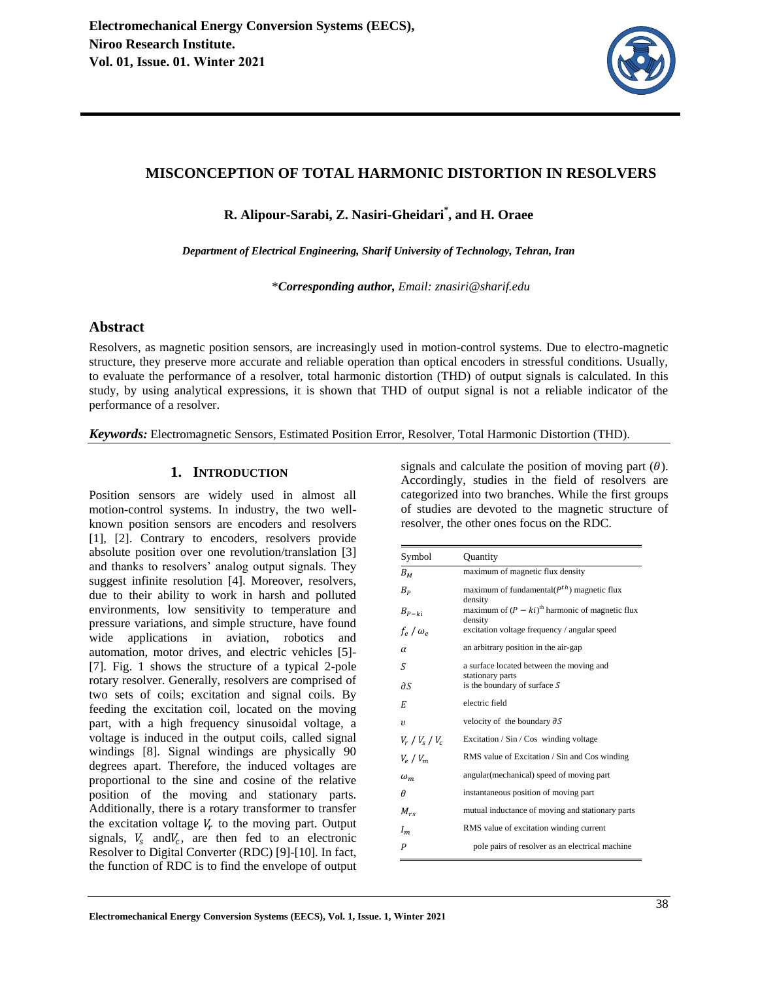

# **MISCONCEPTION OF TOTAL HARMONIC DISTORTION IN RESOLVERS**

**R. Alipour-Sarabi, Z. Nasiri-Gheidari\* , and H. Oraee** 

*Department of Electrical Engineering, Sharif University of Technology, Tehran, Iran* 

\**Corresponding author, Email: znasiri@sharif.edu*

### **Abstract**

Resolvers, as magnetic position sensors, are increasingly used in motion-control systems. Due to electro-magnetic structure, they preserve more accurate and reliable operation than optical encoders in stressful conditions. Usually, to evaluate the performance of a resolver, total harmonic distortion (THD) of output signals is calculated. In this study, by using analytical expressions, it is shown that THD of output signal is not a reliable indicator of the performance of a resolver.

*Keywords:* Electromagnetic Sensors, Estimated Position Error, Resolver, Total Harmonic Distortion (THD).

### **1. INTRODUCTION**

Position sensors are widely used in almost all motion-control systems. In industry, the two wellknown position sensors are encoders and resolvers [1], [2]. Contrary to encoders, resolvers provide absolute position over one revolution/translation [3] and thanks to resolvers' analog output signals. They suggest infinite resolution [4]. Moreover, resolvers, due to their ability to work in harsh and polluted environments, low sensitivity to temperature and pressure variations, and simple structure, have found wide applications in aviation, robotics and automation, motor drives, and electric vehicles [5]- [7]. Fig. 1 shows the structure of a typical 2-pole rotary resolver. Generally, resolvers are comprised of two sets of coils; excitation and signal coils. By feeding the excitation coil, located on the moving part, with a high frequency sinusoidal voltage, a voltage is induced in the output coils, called signal windings [8]. Signal windings are physically 90 degrees apart. Therefore, the induced voltages are proportional to the sine and cosine of the relative position of the moving and stationary parts. Additionally, there is a rotary transformer to transfer the excitation voltage  $V_r$  to the moving part. Output signals,  $V_s$  and  $V_c$ , are then fed to an electronic Resolver to Digital Converter (RDC) [9]-[10]. In fact, the function of RDC is to find the envelope of output

signals and calculate the position of moving part  $(\theta)$ . Accordingly, studies in the field of resolvers are categorized into two branches. While the first groups of studies are devoted to the magnetic structure of resolver, the other ones focus on the RDC.

| Symbol                     | Quantity                                                        |
|----------------------------|-----------------------------------------------------------------|
| $B_{\scriptscriptstyle M}$ | maximum of magnetic flux density                                |
| $B_{P}$                    | maximum of fundamental( $P^{th}$ ) magnetic flux<br>density     |
| $B_{P-ki}$                 | maximum of $(P - ki)^{th}$ harmonic of magnetic flux<br>density |
| $f_e / \omega_e$           | excitation voltage frequency / angular speed                    |
| $\alpha$                   | an arbitrary position in the air-gap                            |
| S                          | a surface located between the moving and<br>stationary parts    |
| дS                         | is the boundary of surface $S$                                  |
| E                          | electric field                                                  |
| υ                          | velocity of the boundary $\partial S$                           |
| $V_r$ / $V_s$ / $V_c$      | Excitation / Sin / Cos winding voltage                          |
| $V_e$ / $V_m$              | RMS value of Excitation / Sin and Cos winding                   |
| $\omega_m$                 | angular(mechanical) speed of moving part                        |
| Ĥ                          | instantaneous position of moving part                           |
| $M_{re}$                   | mutual inductance of moving and stationary parts                |
| $I_m$                      | RMS value of excitation winding current                         |
| $\boldsymbol{P}$           | pole pairs of resolver as an electrical machine                 |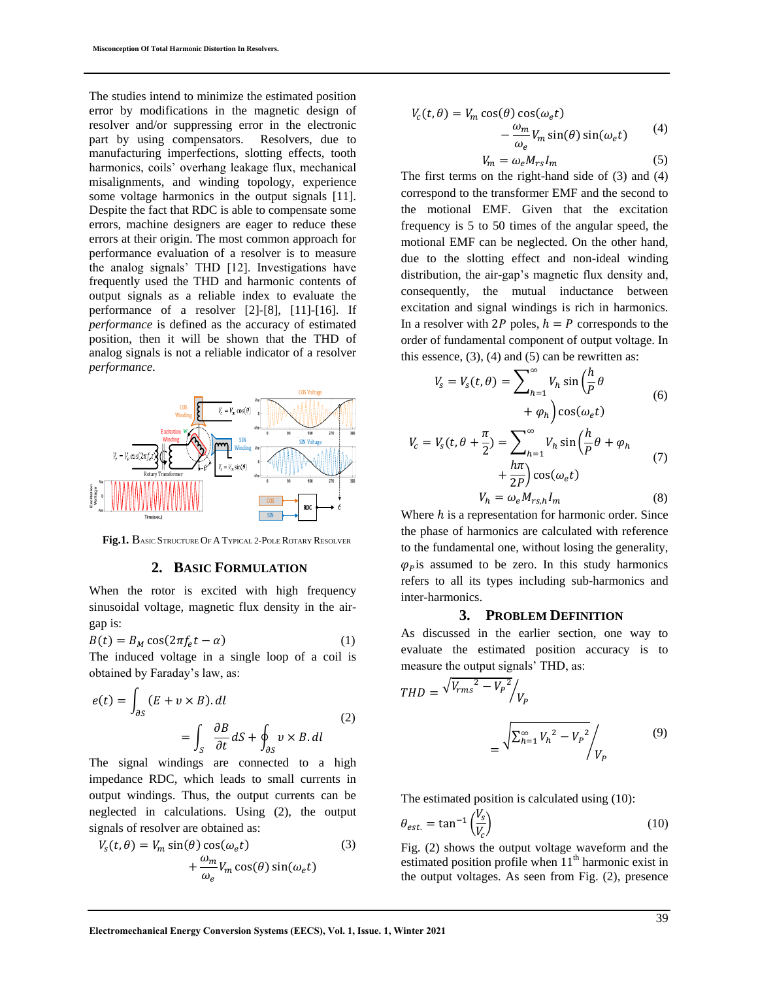The studies intend to minimize the estimated position error by modifications in the magnetic design of resolver and/or suppressing error in the electronic part by using compensators. Resolvers, due to manufacturing imperfections, slotting effects, tooth harmonics, coils' overhang leakage flux, mechanical misalignments, and winding topology, experience some voltage harmonics in the output signals [11]. Despite the fact that RDC is able to compensate some errors, machine designers are eager to reduce these errors at their origin. The most common approach for performance evaluation of a resolver is to measure the analog signals' THD [12]. Investigations have frequently used the THD and harmonic contents of output signals as a reliable index to evaluate the performance of a resolver [2]-[8], [11]-[16]. If *performance* is defined as the accuracy of estimated position, then it will be shown that the THD of analog signals is not a reliable indicator of a resolver *performance*.



**Fig.1.** BASIC STRUCTURE OF A TYPICAL 2-POLE ROTARY RESOLVER

### **2. BASIC FORMULATION**

When the rotor is excited with high frequency sinusoidal voltage, magnetic flux density in the airgap is:

$$
B(t) = B_M \cos(2\pi f_e t - \alpha)
$$
 (1)

The induced voltage in a single loop of a coil is obtained by Faraday's law, as:

$$
e(t) = \int_{\partial S} (E + v \times B). dl
$$
  
= 
$$
\int_{S} \frac{\partial B}{\partial t} dS + \oint_{\partial S} v \times B. dl
$$
 (2)

The signal windings are connected to a high impedance RDC, which leads to small currents in output windings. Thus, the output currents can be neglected in calculations. Using (2), the output signals of resolver are obtained as:

$$
V_s(t,\theta) = V_m \sin(\theta) \cos(\omega_e t) + \frac{\omega_m}{\omega_e} V_m \cos(\theta) \sin(\omega_e t)
$$
 (3)

$$
V_c(t,\theta) = V_m \cos(\theta) \cos(\omega_e t)
$$
  
- 
$$
\frac{\omega_m}{\omega_e} V_m \sin(\theta) \sin(\omega_e t)
$$
 (4)

$$
V_m = \omega_e M_{rs} I_m \tag{5}
$$

The first terms on the right-hand side of (3) and (4) correspond to the transformer EMF and the second to the motional EMF. Given that the excitation frequency is 5 to 50 times of the angular speed, the motional EMF can be neglected. On the other hand, due to the slotting effect and non-ideal winding distribution, the air-gap's magnetic flux density and, consequently, the mutual inductance between excitation and signal windings is rich in harmonics. In a resolver with 2P poles,  $h = P$  corresponds to the order of fundamental component of output voltage. In this essence,  $(3)$ ,  $(4)$  and  $(5)$  can be rewritten as:

$$
V_s = V_s(t, \theta) = \sum_{h=1}^{\infty} V_h \sin\left(\frac{h}{P}\theta\right)
$$

$$
+ \varphi_h \right) \cos(\omega_e t)
$$
(6)

$$
V_c = V_s(t, \theta + \frac{\pi}{2}) = \sum_{h=1}^{\infty} V_h \sin\left(\frac{h}{P}\theta + \varphi_h\right)
$$
  
+ 
$$
\frac{h\pi}{2P} \cos(\omega_e t)
$$
 (7)

$$
V_h = \omega_e M_{rs,h} I_m \tag{8}
$$

Where  $h$  is a representation for harmonic order. Since the phase of harmonics are calculated with reference to the fundamental one, without losing the generality,  $\varphi$ <sub>p</sub> is assumed to be zero. In this study harmonics refers to all its types including sub-harmonics and inter-harmonics.

#### **3. PROBLEM DEFINITION**

As discussed in the earlier section, one way to evaluate the estimated position accuracy is to measure the output signals' THD, as:

$$
THD = \frac{\sqrt{V_{rms}^2 - V_P^2}}{V_P}
$$
  
= 
$$
\frac{\sqrt{\sum_{h=1}^{\infty} V_h^2 - V_P^2}}{V_P}
$$
 (9)

The estimated position is calculated using (10):

$$
\theta_{est.} = \tan^{-1}\left(\frac{V_s}{V_c}\right) \tag{10}
$$

Fig. (2) shows the output voltage waveform and the estimated position profile when  $11<sup>th</sup>$  harmonic exist in the output voltages. As seen from Fig. (2), presence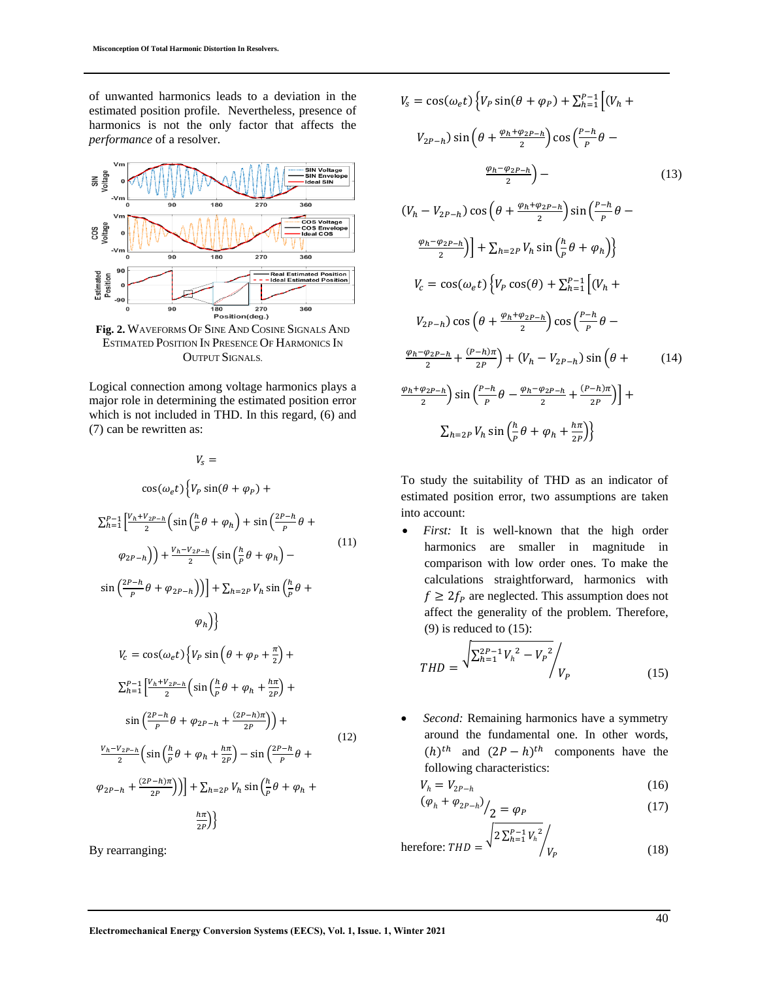of unwanted harmonics leads to a deviation in the estimated position profile. Nevertheless, presence of harmonics is not the only factor that affects the *performance* of a resolver.



**Fig. 2.** WAVEFORMS OF SINE AND COSINE SIGNALS AND ESTIMATED POSITION IN PRESENCE OF HARMONICS IN OUTPUT SIGNALS.

Logical connection among voltage harmonics plays a major role in determining the estimated position error which is not included in THD. In this regard, (6) and (7) can be rewritten as:

 $\overline{r}$ 

$$
V_{S} = \cos(\omega_{e}t) \left\{ V_{P} \sin(\theta + \varphi_{P}) + \sum_{h=1}^{P-1} \left[ \frac{V_{h} + V_{2P-h}}{2} \left( \sin\left(\frac{h}{P}\theta + \varphi_{h}\right) + \sin\left(\frac{2P-h}{P}\theta + \varphi_{2P-h}\right) \right) + \frac{V_{h} - V_{2P-h}}{2} \left( \sin\left(\frac{h}{P}\theta + \varphi_{h}\right) - \right. \right\}
$$
\n
$$
\sin\left(\frac{2P-h}{P}\theta + \varphi_{2P-h}\right) \right) \left\{ + \sum_{h=2P} V_{h} \sin\left(\frac{h}{P}\theta + \varphi_{2P-h}\right) \right\}
$$
\n
$$
V_{C} = \cos(\omega_{e}t) \left\{ V_{P} \sin\left(\theta + \varphi_{P} + \frac{\pi}{2}\right) + \sum_{h=1}^{P-1} \left[ \frac{V_{h} + V_{2P-h}}{2} \left( \sin\left(\frac{h}{P}\theta + \varphi_{h} + \frac{h\pi}{2P}\right) + \right. \right. \right\}
$$
\n
$$
\sin\left(\frac{2P-h}{P}\theta + \varphi_{2P-h} + \frac{(2P-h)\pi}{2P}\right) \right) + \frac{V_{h} - V_{2P-h}}{2} \left( \sin\left(\frac{h}{P}\theta + \varphi_{h} + \frac{h\pi}{2P}\right) - \sin\left(\frac{2P-h}{P}\theta + \varphi_{2P-h} + \frac{(2P-h)\pi}{2P}\right) \right) \left\{ + \sum_{h=2P} V_{h} \sin\left(\frac{h}{P}\theta + \varphi_{h} + \frac{h\pi}{2P}\right) \right\}
$$
\n(12)

By rearranging:

$$
V_{s} = \cos(\omega_{e}t) \left\{ V_{P} \sin(\theta + \varphi_{P}) + \sum_{h=1}^{P-1} \left[ (V_{h} + V_{2P-h}) \sin\left(\theta + \frac{\varphi_{h} + \varphi_{2P-h}}{2}\right) \cos\left(\frac{P-h}{P}\theta - \frac{\varphi_{h} - \varphi_{2P-h}}{2}\right) - \right\}
$$
\n
$$
(13)
$$
\n
$$
(V_{h} - V_{2P-h}) \cos\left(\theta + \frac{\varphi_{h} + \varphi_{2P-h}}{2}\right) \sin\left(\frac{P-h}{P}\theta - \frac{\varphi_{h} - \varphi_{2P-h}}{2}\right) \left\{ + \sum_{h=2P} V_{h} \sin\left(\frac{h}{P}\theta + \varphi_{h}\right) \right\}
$$
\n
$$
V_{c} = \cos(\omega_{e}t) \left\{ V_{P} \cos(\theta) + \sum_{h=1}^{P-1} \left[ (V_{h} + V_{2P-h}) \cos\left(\theta + \frac{\varphi_{h} + \varphi_{2P-h}}{2}\right) \cos\left(\frac{P-h}{P}\theta - \frac{\varphi_{h} - \varphi_{2P-h}}{2}\right) + \left(V_{h} - V_{2P-h}\right) \sin\left(\theta + \frac{\varphi_{h} + \varphi_{2P-h}}{2}\right) \sin\left(\frac{P-h}{P}\theta - \frac{\varphi_{h} - \varphi_{2P-h}}{2} + \frac{(P-h)\pi}{2P}\right) \right] + \sum_{h=2P} V_{h} \sin\left(\frac{h}{P}\theta + \varphi_{h} + \frac{h\pi}{2P}\right)
$$

To study the suitability of THD as an indicator of estimated position error, two assumptions are taken into account:

 *First:* It is well-known that the high order harmonics are smaller in magnitude in comparison with low order ones. To make the calculations straightforward, harmonics with  $f \geq 2f_p$  are neglected. This assumption does not affect the generality of the problem. Therefore,  $(9)$  is reduced to  $(15)$ :

$$
THD = \frac{\sqrt{\sum_{h=1}^{2P-1} V_h^2 - V_P^2}}{V_P}
$$
\n(15)

• *Second:* Remaining harmonics have a symmetry around the fundamental one. In other words,  $(h)$ <sup>th</sup> and  $(2P - h)$ <sup>th</sup> components have the following characteristics:

$$
V_h = V_{2P-h} \tag{16}
$$

$$
(\varphi_h + \varphi_{2P-h})/2 = \varphi_P \tag{17}
$$

herefore: 
$$
THD = \frac{\sqrt{2 \sum_{h=1}^{P-1} V_h^2}}{V_P}
$$
 (18)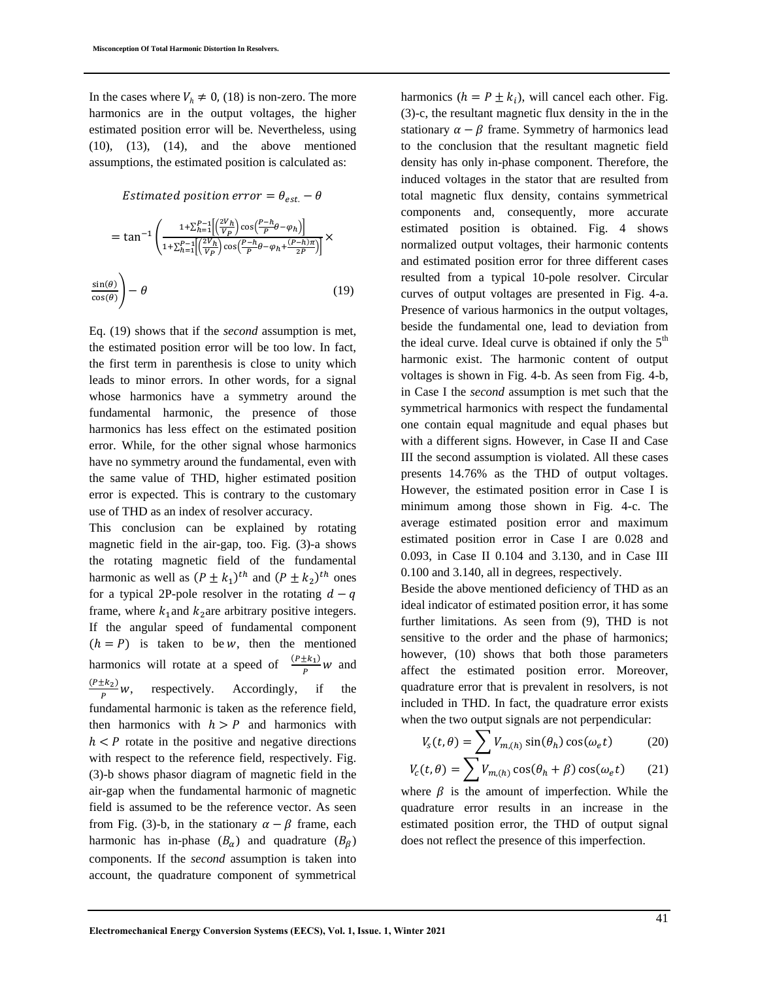In the cases where  $V_h \neq 0$ , (18) is non-zero. The more harmonics are in the output voltages, the higher estimated position error will be. Nevertheless, using (10), (13), (14), and the above mentioned assumptions, the estimated position is calculated as:

*Estimated position error* =  $\theta_{est.}$  –  $\theta$ 

$$
= \tan^{-1} \left( \frac{1 + \sum_{h=1}^{P-1} \left[ \frac{2V_h}{V_P} \right] \cos\left( \frac{P-h}{P} \theta - \varphi_h \right]}{1 + \sum_{h=1}^{P-1} \left[ \frac{2V_h}{V_P} \right] \cos\left( \frac{P-h}{P} \theta - \varphi_h + \frac{(P-h)\pi}{2P} \right]} \right) \times \frac{\sin(\theta)}{\cos(\theta)} - \theta \tag{19}
$$

Eq. (19) shows that if the *second* assumption is met, the estimated position error will be too low. In fact, the first term in parenthesis is close to unity which leads to minor errors. In other words, for a signal whose harmonics have a symmetry around the fundamental harmonic, the presence of those harmonics has less effect on the estimated position error. While, for the other signal whose harmonics have no symmetry around the fundamental, even with the same value of THD, higher estimated position error is expected. This is contrary to the customary use of THD as an index of resolver accuracy.

This conclusion can be explained by rotating magnetic field in the air-gap, too. Fig. (3)-a shows the rotating magnetic field of the fundamental harmonic as well as  $(P \pm k_1)^{th}$  and  $(P \pm k_2)^{th}$  ones for a typical 2P-pole resolver in the rotating  $d - q$ frame, where  $k_1$  and  $k_2$  are arbitrary positive integers. If the angular speed of fundamental component  $(h = P)$  is taken to be w, then the mentioned harmonics will rotate at a speed of  $\frac{(P \pm k_1)}{P}$  w and  $(P \pm k_2)$ P respectively. Accordingly, if the fundamental harmonic is taken as the reference field, then harmonics with  $h > P$  and harmonics with  $h < P$  rotate in the positive and negative directions with respect to the reference field, respectively. Fig. (3)-b shows phasor diagram of magnetic field in the air-gap when the fundamental harmonic of magnetic field is assumed to be the reference vector. As seen from Fig. (3)-b, in the stationary  $\alpha - \beta$  frame, each harmonic has in-phase  $(B_{\alpha})$  and quadrature  $(B_{\beta})$ components. If the *second* assumption is taken into account, the quadrature component of symmetrical

harmonics  $(h = P \pm k_i)$ , will cancel each other. Fig. (3)-c, the resultant magnetic flux density in the in the stationary  $\alpha - \beta$  frame. Symmetry of harmonics lead to the conclusion that the resultant magnetic field density has only in-phase component. Therefore, the induced voltages in the stator that are resulted from total magnetic flux density, contains symmetrical components and, consequently, more accurate estimated position is obtained. Fig. 4 shows normalized output voltages, their harmonic contents and estimated position error for three different cases resulted from a typical 10-pole resolver. Circular curves of output voltages are presented in Fig. 4-a. Presence of various harmonics in the output voltages, beside the fundamental one, lead to deviation from the ideal curve. Ideal curve is obtained if only the  $5<sup>th</sup>$ harmonic exist. The harmonic content of output voltages is shown in Fig. 4-b. As seen from Fig. 4-b, in Case I the *second* assumption is met such that the symmetrical harmonics with respect the fundamental one contain equal magnitude and equal phases but with a different signs. However, in Case II and Case III the second assumption is violated. All these cases presents 14.76% as the THD of output voltages. However, the estimated position error in Case I is minimum among those shown in Fig. 4-c. The average estimated position error and maximum estimated position error in Case I are 0.028 and 0.093, in Case II 0.104 and 3.130, and in Case III 0.100 and 3.140, all in degrees, respectively.

Beside the above mentioned deficiency of THD as an ideal indicator of estimated position error, it has some further limitations. As seen from (9), THD is not sensitive to the order and the phase of harmonics; however, (10) shows that both those parameters affect the estimated position error. Moreover, quadrature error that is prevalent in resolvers, is not included in THD. In fact, the quadrature error exists when the two output signals are not perpendicular:

$$
V_s(t,\theta) = \sum V_{m,(h)} \sin(\theta_h) \cos(\omega_e t)
$$
 (20)

$$
V_c(t,\theta) = \sum V_{m,(h)} \cos(\theta_h + \beta) \cos(\omega_e t) \qquad (21)
$$

where  $\beta$  is the amount of imperfection. While the quadrature error results in an increase in the estimated position error, the THD of output signal does not reflect the presence of this imperfection.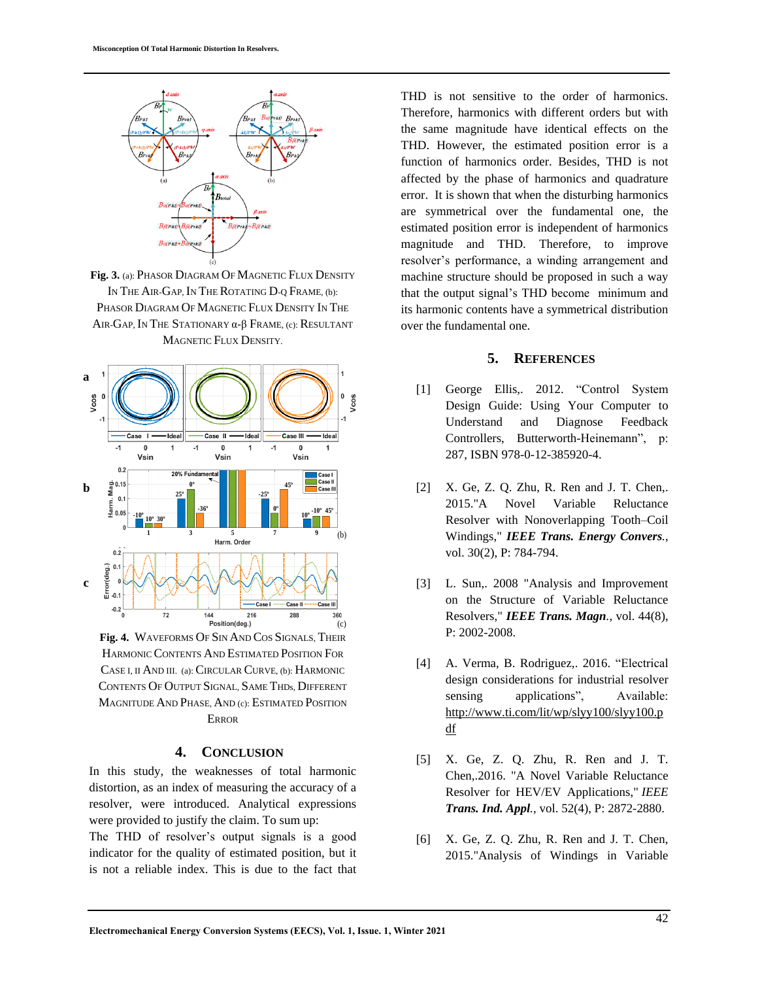

**Fig. 3.** (a): PHASOR DIAGRAM OF MAGNETIC FLUX DENSITY IN THE AIR-GAP, IN THE ROTATING D-Q FRAME, (b): PHASOR DIAGRAM OF MAGNETIC FLUX DENSITY IN THE AIR-GAP, IN THE STATIONARY α-β FRAME, (c): RESULTANT MAGNETIC FLUX DENSITY.



**Fig. 4.** WAVEFORMS OF SIN AND COS SIGNALS, THEIR HARMONIC CONTENTS AND ESTIMATED POSITION FOR CASE I, II AND III. (a): CIRCULAR CURVE, (b): HARMONIC CONTENTS OF OUTPUT SIGNAL, SAME THDs, DIFFERENT MAGNITUDE AND PHASE, AND (c): ESTIMATED POSITION **ERROR** 

### **4. CONCLUSION**

In this study, the weaknesses of total harmonic distortion, as an index of measuring the accuracy of a resolver, were introduced. Analytical expressions were provided to justify the claim. To sum up:

The THD of resolver's output signals is a good indicator for the quality of estimated position, but it is not a reliable index. This is due to the fact that THD is not sensitive to the order of harmonics. Therefore, harmonics with different orders but with the same magnitude have identical effects on the THD. However, the estimated position error is a function of harmonics order. Besides, THD is not affected by the phase of harmonics and quadrature error. It is shown that when the disturbing harmonics are symmetrical over the fundamental one, the estimated position error is independent of harmonics magnitude and THD. Therefore, to improve resolver's performance, a winding arrangement and machine structure should be proposed in such a way that the output signal's THD become minimum and its harmonic contents have a symmetrical distribution over the fundamental one.

## **5. REFERENCES**

- [1] George Ellis,. 2012. "Control System Design Guide: Using Your Computer to Understand and Diagnose Feedback Controllers, Butterworth-Heinemann", p: 287, ISBN 978-0-12-385920-4.
- [2] X. Ge, Z. Q. Zhu, R. Ren and J. T. Chen,. 2015."A Novel Variable Reluctance Resolver with Nonoverlapping Tooth–Coil Windings," *IEEE Trans. Energy Convers.*, vol. 30(2), P: 784-794.
- [3] L. Sun,. 2008 "Analysis and Improvement on the Structure of Variable Reluctance Resolvers," *IEEE Trans. Magn.*, vol. 44(8), P: 2002-2008.
- [4] A. Verma, B. Rodriguez,. 2016. "Electrical design considerations for industrial resolver sensing applications", Available: [http://www.ti.com/lit/wp/slyy100/slyy100.p](http://www.ti.com/lit/wp/slyy100/slyy100.pdf) [df](http://www.ti.com/lit/wp/slyy100/slyy100.pdf)
- [5] X. Ge, Z. Q. Zhu, R. Ren and J. T. Chen,.2016. "A Novel Variable Reluctance Resolver for HEV/EV Applications," *IEEE Trans. Ind. Appl.*, vol. 52(4), P: 2872-2880.
- [6] X. Ge, Z. Q. Zhu, R. Ren and J. T. Chen, 2015."Analysis of Windings in Variable